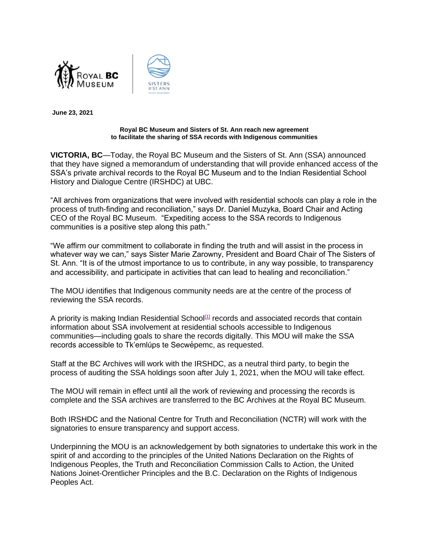

**June 23, 2021**

## **Royal BC Museum and Sisters of St. Ann reach new agreement to facilitate the sharing of SSA records with Indigenous communities**

**VICTORIA, BC**—Today, the Royal BC Museum and the Sisters of St. Ann (SSA) announced that they have signed a memorandum of understanding that will provide enhanced access of the SSA's private archival records to the Royal BC Museum and to the Indian Residential School History and Dialogue Centre (IRSHDC) at UBC.

"All archives from organizations that were involved with residential schools can play a role in the process of truth-finding and reconciliation," says Dr. Daniel Muzyka, Board Chair and Acting CEO of the Royal BC Museum. "Expediting access to the SSA records to Indigenous communities is a positive step along this path."

"We affirm our commitment to collaborate in finding the truth and will assist in the process in whatever way we can," says Sister Marie Zarowny, President and Board Chair of The Sisters of St. Ann. "It is of the utmost importance to us to contribute, in any way possible, to transparency and accessibility, and participate in activities that can lead to healing and reconciliation."

The MOU identifies that Indigenous community needs are at the centre of the process of reviewing the SSA records.

A priority is making Indian Residential School<sup>[1]</sup> records and associated records that contain information about SSA involvement at residential schools accessible to Indigenous communities—including goals to share the records digitally. This MOU will make the SSA records accessible to Tk'emlúps te Secwépemc, as requested.

Staff at the BC Archives will work with the IRSHDC, as a neutral third party, to begin the process of auditing the SSA holdings soon after July 1, 2021, when the MOU will take effect.

The MOU will remain in effect until all the work of reviewing and processing the records is complete and the SSA archives are transferred to the BC Archives at the Royal BC Museum.

Both IRSHDC and the National Centre for Truth and Reconciliation (NCTR) will work with the signatories to ensure transparency and support access.

Underpinning the MOU is an acknowledgement by both signatories to undertake this work in the spirit of and according to the principles of the United Nations Declaration on the Rights of Indigenous Peoples, the Truth and Reconciliation Commission Calls to Action, the United Nations Joinet-Orentlicher Principles and the B.C. Declaration on the Rights of Indigenous Peoples Act.